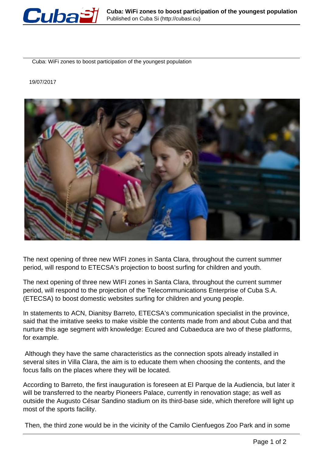

Cuba: WiFi zones to boost participation of the youngest population

19/07/2017



The next opening of three new WIFI zones in Santa Clara, throughout the current summer period, will respond to ETECSA's projection to boost surfing for children and youth.

The next opening of three new WIFI zones in Santa Clara, throughout the current summer period, will respond to the projection of the Telecommunications Enterprise of Cuba S.A. (ETECSA) to boost domestic websites surfing for children and young people.

In statements to ACN, Dianitsy Barreto, ETECSA's communication specialist in the province, said that the imitative seeks to make visible the contents made from and about Cuba and that nurture this age segment with knowledge: Ecured and Cubaeduca are two of these platforms, for example.

 Although they have the same characteristics as the connection spots already installed in several sites in Villa Clara, the aim is to educate them when choosing the contents, and the focus falls on the places where they will be located.

According to Barreto, the first inauguration is foreseen at El Parque de la Audiencia, but later it will be transferred to the nearby Pioneers Palace, currently in renovation stage; as well as outside the Augusto César Sandino stadium on its third-base side, which therefore will light up most of the sports facility.

Then, the third zone would be in the vicinity of the Camilo Cienfuegos Zoo Park and in some